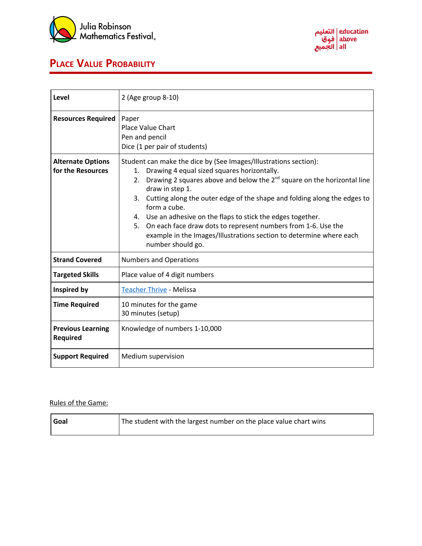



## **PLACE VALUE PROBABILITY**

| Level                                         | 2 (Age group 8-10)                                                                                                                                                                                                                                                                                                                                                                                                                                                                                                                                                         |  |  |  |  |  |  |
|-----------------------------------------------|----------------------------------------------------------------------------------------------------------------------------------------------------------------------------------------------------------------------------------------------------------------------------------------------------------------------------------------------------------------------------------------------------------------------------------------------------------------------------------------------------------------------------------------------------------------------------|--|--|--|--|--|--|
| <b>Resources Required</b>                     | Paper<br><b>Place Value Chart</b><br>Pen and pencil<br>Dice (1 per pair of students)                                                                                                                                                                                                                                                                                                                                                                                                                                                                                       |  |  |  |  |  |  |
| <b>Alternate Options</b><br>for the Resources | Student can make the dice by (See Images/Illustrations section):<br>Drawing 4 equal sized squares horizontally.<br>1.<br>Drawing 2 squares above and below the 2 <sup>nd</sup> square on the horizontal line<br>2.<br>draw in step 1.<br>Cutting along the outer edge of the shape and folding along the edges to<br>3.<br>form a cube.<br>4. Use an adhesive on the flaps to stick the edges together.<br>On each face draw dots to represent numbers from 1-6. Use the<br>5.<br>example in the Images/Illustrations section to determine where each<br>number should go. |  |  |  |  |  |  |
| <b>Strand Covered</b>                         | <b>Numbers and Operations</b>                                                                                                                                                                                                                                                                                                                                                                                                                                                                                                                                              |  |  |  |  |  |  |
| <b>Targeted Skills</b>                        | Place value of 4 digit numbers                                                                                                                                                                                                                                                                                                                                                                                                                                                                                                                                             |  |  |  |  |  |  |
| Inspired by                                   | <b>Teacher Thrive - Melissa</b>                                                                                                                                                                                                                                                                                                                                                                                                                                                                                                                                            |  |  |  |  |  |  |
| <b>Time Required</b>                          | 10 minutes for the game<br>30 minutes (setup)                                                                                                                                                                                                                                                                                                                                                                                                                                                                                                                              |  |  |  |  |  |  |
| <b>Previous Learning</b><br><b>Required</b>   | Knowledge of numbers 1-10,000                                                                                                                                                                                                                                                                                                                                                                                                                                                                                                                                              |  |  |  |  |  |  |
| <b>Support Required</b>                       | Medium supervision                                                                                                                                                                                                                                                                                                                                                                                                                                                                                                                                                         |  |  |  |  |  |  |

## Rules of the Game:

| Goal | The student with the largest number on the place value chart wins |
|------|-------------------------------------------------------------------|
|      |                                                                   |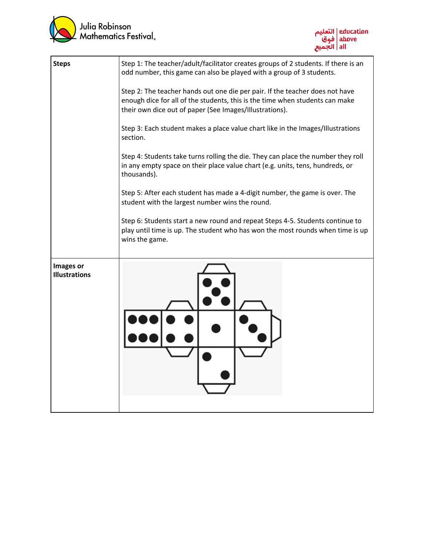



| <b>Steps</b>                      | Step 1: The teacher/adult/facilitator creates groups of 2 students. If there is an<br>odd number, this game can also be played with a group of 3 students.                                                              |  |  |  |  |  |  |  |  |
|-----------------------------------|-------------------------------------------------------------------------------------------------------------------------------------------------------------------------------------------------------------------------|--|--|--|--|--|--|--|--|
|                                   | Step 2: The teacher hands out one die per pair. If the teacher does not have<br>enough dice for all of the students, this is the time when students can make<br>their own dice out of paper (See Images/Illustrations). |  |  |  |  |  |  |  |  |
|                                   | Step 3: Each student makes a place value chart like in the Images/Illustrations<br>section.                                                                                                                             |  |  |  |  |  |  |  |  |
|                                   | Step 4: Students take turns rolling the die. They can place the number they roll<br>in any empty space on their place value chart (e.g. units, tens, hundreds, or<br>thousands).                                        |  |  |  |  |  |  |  |  |
|                                   | Step 5: After each student has made a 4-digit number, the game is over. The<br>student with the largest number wins the round.                                                                                          |  |  |  |  |  |  |  |  |
|                                   | Step 6: Students start a new round and repeat Steps 4-5. Students continue to<br>play until time is up. The student who has won the most rounds when time is up<br>wins the game.                                       |  |  |  |  |  |  |  |  |
| Images or<br><b>Illustrations</b> |                                                                                                                                                                                                                         |  |  |  |  |  |  |  |  |
|                                   |                                                                                                                                                                                                                         |  |  |  |  |  |  |  |  |